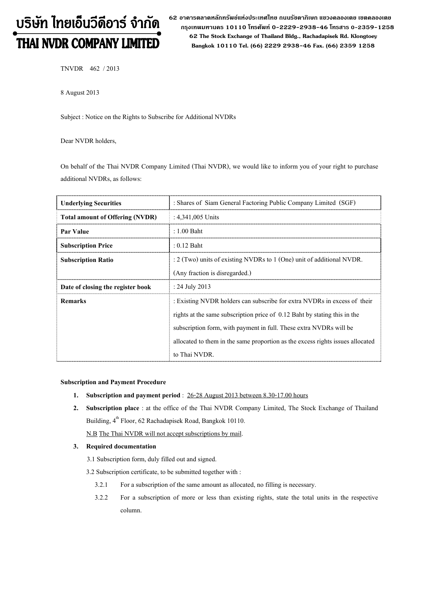# บริษัท ไทยเอ็นวีดีอาร์ จำกัด THAI NVDR COMPANY LIMITED

62 อาดารตลาดหลักทรัพย์แห่งประเทศไทย ถนนรัซดาภิเษก แขวงดลองเตย เขตดลองเตย  **ก"# 10110 & 0-2229-2938-46 &, 0-2359-1258 62 The Stock Exchange of Thailand Bldg., Rachadapisek Rd. Klongtoey Bangkok 10110 Tel. (66) 2229 2938-46 Fax. (66) 2359 1258**

TNVDR 462 / 2013

8 August 2013

Subject : Notice on the Rights to Subscribe for Additional NVDRs

Dear NVDR holders,

On behalf of the Thai NVDR Company Limited (Thai NVDR), we would like to inform you of your right to purchase additional NVDRs, as follows:

| <b>Underlying Securities</b>           | : Shares of Siam General Factoring Public Company Limited (SGF)                |  |
|----------------------------------------|--------------------------------------------------------------------------------|--|
| <b>Total amount of Offering (NVDR)</b> | : $4,341,005$ Units                                                            |  |
| Par Value                              | $: 1.00$ Baht                                                                  |  |
| <b>Subscription Price</b>              | $: 0.12$ Baht                                                                  |  |
| <b>Subscription Ratio</b>              | $\approx$ 2 (Two) units of existing NVDRs to 1 (One) unit of additional NVDR.  |  |
|                                        | (Any fraction is disregarded.)                                                 |  |
| Date of closing the register book      | : 24 July 2013                                                                 |  |
| <b>Remarks</b>                         | : Existing NVDR holders can subscribe for extra NVDRs in excess of their       |  |
|                                        | rights at the same subscription price of 0.12 Baht by stating this in the      |  |
|                                        | subscription form, with payment in full. These extra NVDRs will be             |  |
|                                        | allocated to them in the same proportion as the excess rights issues allocated |  |
|                                        | to Thai NVDR.                                                                  |  |

#### **Subscription and Payment Procedure**

- **1. Subscription and payment period** : 26-28 August 2013 between 8.30-17.00 hours
- **2. Subscription place** : at the office of the Thai NVDR Company Limited, The Stock Exchange of Thailand Building, 4<sup>th</sup> Floor, 62 Rachadapisek Road, Bangkok 10110.

N.B The Thai NVDR will not accept subscriptions by mail.

#### **3. Required documentation**

- 3.1 Subscription form, duly filled out and signed.
- 3.2 Subscription certificate, to be submitted together with :
	- 3.2.1 For a subscription of the same amount as allocated, no filling is necessary.
	- 3.2.2 For a subscription of more or less than existing rights, state the total units in the respective column.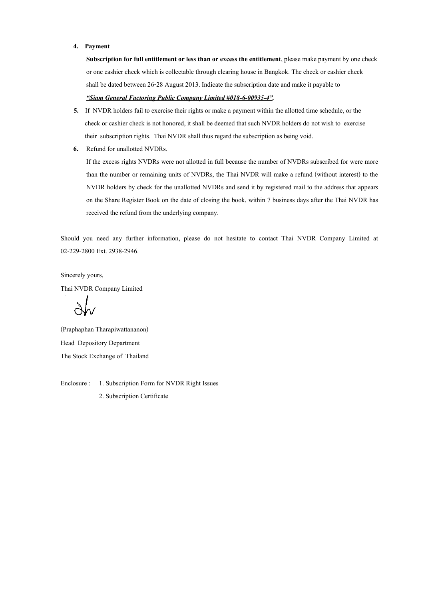#### **4. Payment**

**Subscription for full entitlement or less than or excess the entitlement**, please make payment by one check or one cashier check which is collectable through clearing house in Bangkok. The check or cashier check shall be dated between 26-28 August 2013. Indicate the subscription date and make it payable to

## *-Siam General Factoring Public Company Limited #018-6-00935-4#.*

- **5.** If NVDR holders fail to exercise their rights or make a payment within the allotted time schedule, or the check or cashier check is not honored, it shall be deemed that such NVDR holders do not wish to exercise their subscription rights. Thai NVDR shall thus regard the subscription as being void.
- **6.** Refund for unallotted NVDRs.

If the excess rights NVDRs were not allotted in full because the number of NVDRs subscribed for were more than the number or remaining units of NVDRs, the Thai NVDR will make a refund (without interest) to the NVDR holders by check for the unallotted NVDRs and send it by registered mail to the address that appears on the Share Register Book on the date of closing the book, within 7 business days after the Thai NVDR has received the refund from the underlying company.

Should you need any further information, please do not hesitate to contact Thai NVDR Company Limited at 02-229-2800 Ext. 2938-2946.

Sincerely yours, Thai NVDR Company Limited

(Praphaphan Tharapiwattananon) Head Depository Department The Stock Exchange of Thailand

Enclosure : 1. Subscription Form for NVDR Right Issues 2. Subscription Certificate